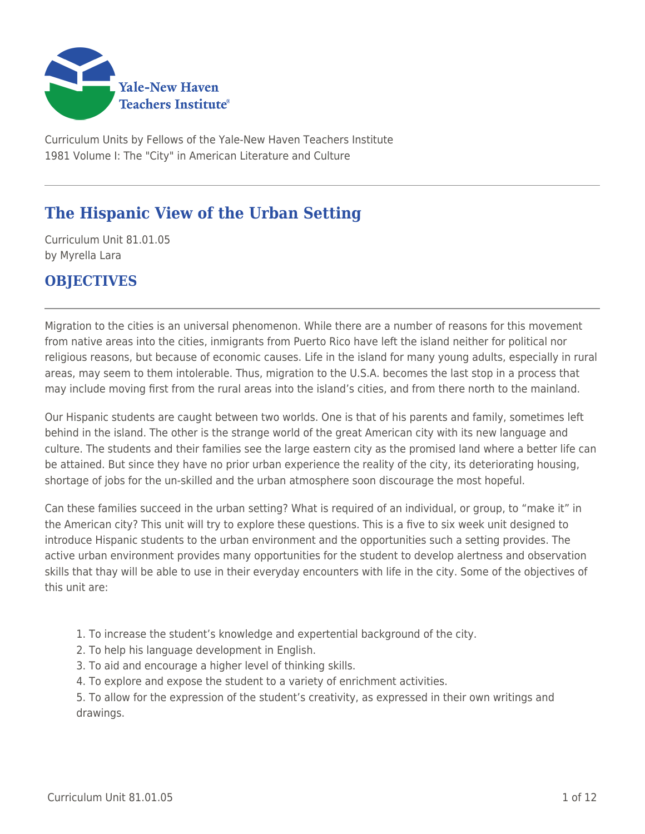

Curriculum Units by Fellows of the Yale-New Haven Teachers Institute 1981 Volume I: The "City" in American Literature and Culture

# **The Hispanic View of the Urban Setting**

Curriculum Unit 81.01.05 by Myrella Lara

# **OBJECTIVES**

Migration to the cities is an universal phenomenon. While there are a number of reasons for this movement from native areas into the cities, inmigrants from Puerto Rico have left the island neither for political nor religious reasons, but because of economic causes. Life in the island for many young adults, especially in rural areas, may seem to them intolerable. Thus, migration to the U.S.A. becomes the last stop in a process that may include moving first from the rural areas into the island's cities, and from there north to the mainland.

Our Hispanic students are caught between two worlds. One is that of his parents and family, sometimes left behind in the island. The other is the strange world of the great American city with its new language and culture. The students and their families see the large eastern city as the promised land where a better life can be attained. But since they have no prior urban experience the reality of the city, its deteriorating housing, shortage of jobs for the un-skilled and the urban atmosphere soon discourage the most hopeful.

Can these families succeed in the urban setting? What is required of an individual, or group, to "make it" in the American city? This unit will try to explore these questions. This is a five to six week unit designed to introduce Hispanic students to the urban environment and the opportunities such a setting provides. The active urban environment provides many opportunities for the student to develop alertness and observation skills that thay will be able to use in their everyday encounters with life in the city. Some of the objectives of this unit are:

- 1. To increase the student's knowledge and expertential background of the city.
- 2. To help his language development in English.
- 3. To aid and encourage a higher level of thinking skills.
- 4. To explore and expose the student to a variety of enrichment activities.

5. To allow for the expression of the student's creativity, as expressed in their own writings and drawings.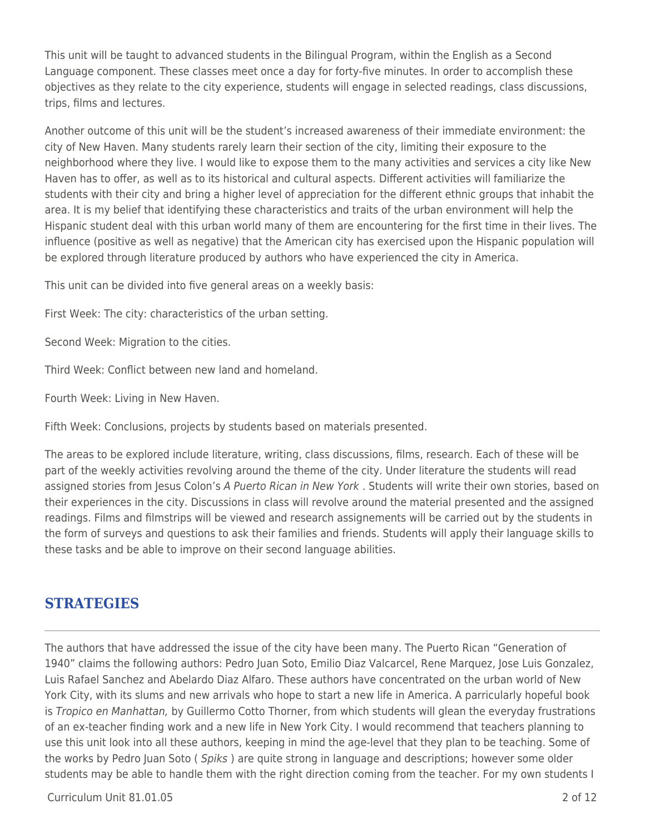This unit will be taught to advanced students in the Bilingual Program, within the English as a Second Language component. These classes meet once a day for forty-five minutes. In order to accomplish these objectives as they relate to the city experience, students will engage in selected readings, class discussions, trips, films and lectures.

Another outcome of this unit will be the student's increased awareness of their immediate environment: the city of New Haven. Many students rarely learn their section of the city, limiting their exposure to the neighborhood where they live. I would like to expose them to the many activities and services a city like New Haven has to offer, as well as to its historical and cultural aspects. Different activities will familiarize the students with their city and bring a higher level of appreciation for the different ethnic groups that inhabit the area. It is my belief that identifying these characteristics and traits of the urban environment will help the Hispanic student deal with this urban world many of them are encountering for the first time in their lives. The influence (positive as well as negative) that the American city has exercised upon the Hispanic population will be explored through literature produced by authors who have experienced the city in America.

This unit can be divided into five general areas on a weekly basis:

First Week: The city: characteristics of the urban setting.

Second Week: Migration to the cities.

Third Week: Conflict between new land and homeland.

Fourth Week: Living in New Haven.

Fifth Week: Conclusions, projects by students based on materials presented.

The areas to be explored include literature, writing, class discussions, films, research. Each of these will be part of the weekly activities revolving around the theme of the city. Under literature the students will read assigned stories from Jesus Colon's A Puerto Rican in New York . Students will write their own stories, based on their experiences in the city. Discussions in class will revolve around the material presented and the assigned readings. Films and filmstrips will be viewed and research assignements will be carried out by the students in the form of surveys and questions to ask their families and friends. Students will apply their language skills to these tasks and be able to improve on their second language abilities.

### **STRATEGIES**

The authors that have addressed the issue of the city have been many. The Puerto Rican "Generation of 1940" claims the following authors: Pedro Juan Soto, Emilio Diaz Valcarcel, Rene Marquez, Jose Luis Gonzalez, Luis Rafael Sanchez and Abelardo Diaz Alfaro. These authors have concentrated on the urban world of New York City, with its slums and new arrivals who hope to start a new life in America. A parricularly hopeful book is Tropico en Manhattan, by Guillermo Cotto Thorner, from which students will glean the everyday frustrations of an ex-teacher finding work and a new life in New York City. I would recommend that teachers planning to use this unit look into all these authors, keeping in mind the age-level that they plan to be teaching. Some of the works by Pedro Juan Soto (*Spiks*) are quite strong in language and descriptions; however some older students may be able to handle them with the right direction coming from the teacher. For my own students I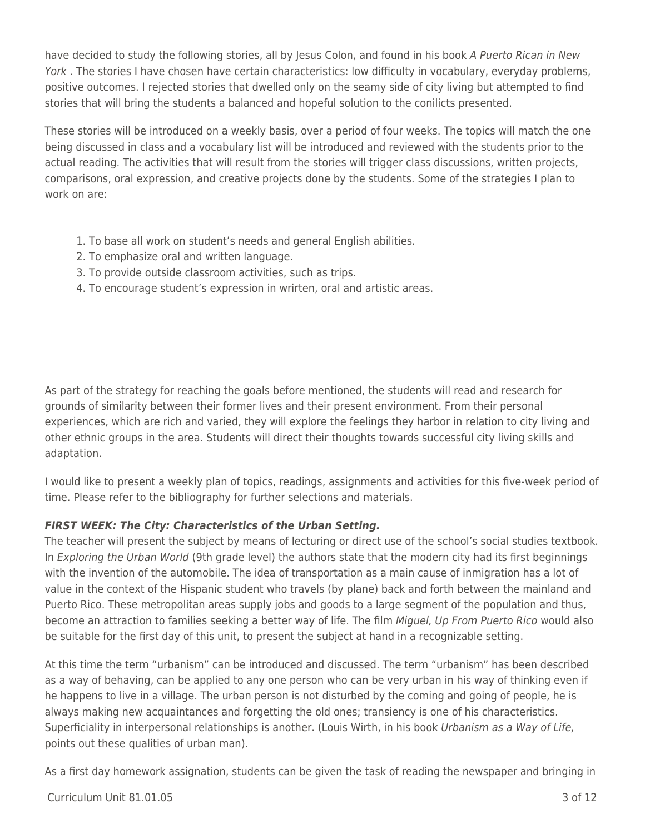have decided to study the following stories, all by Jesus Colon, and found in his book A Puerto Rican in New York. The stories I have chosen have certain characteristics: low difficulty in vocabulary, everyday problems, positive outcomes. I rejected stories that dwelled only on the seamy side of city living but attempted to find stories that will bring the students a balanced and hopeful solution to the conilicts presented.

These stories will be introduced on a weekly basis, over a period of four weeks. The topics will match the one being discussed in class and a vocabulary list will be introduced and reviewed with the students prior to the actual reading. The activities that will result from the stories will trigger class discussions, written projects, comparisons, oral expression, and creative projects done by the students. Some of the strategies I plan to work on are:

- 1. To base all work on student's needs and general English abilities.
- 2. To emphasize oral and written language.
- 3. To provide outside classroom activities, such as trips.
- 4. To encourage student's expression in wrirten, oral and artistic areas.

As part of the strategy for reaching the goals before mentioned, the students will read and research for grounds of similarity between their former lives and their present environment. From their personal experiences, which are rich and varied, they will explore the feelings they harbor in relation to city living and other ethnic groups in the area. Students will direct their thoughts towards successful city living skills and adaptation.

I would like to present a weekly plan of topics, readings, assignments and activities for this five-week period of time. Please refer to the bibliography for further selections and materials.

#### *FIRST WEEK: The City: Characteristics of the Urban Setting.*

The teacher will present the subject by means of lecturing or direct use of the school's social studies textbook. In Exploring the Urban World (9th grade level) the authors state that the modern city had its first beginnings with the invention of the automobile. The idea of transportation as a main cause of inmigration has a lot of value in the context of the Hispanic student who travels (by plane) back and forth between the mainland and Puerto Rico. These metropolitan areas supply jobs and goods to a large segment of the population and thus, become an attraction to families seeking a better way of life. The film Miguel, Up From Puerto Rico would also be suitable for the first day of this unit, to present the subject at hand in a recognizable setting.

At this time the term "urbanism" can be introduced and discussed. The term "urbanism" has been described as a way of behaving, can be applied to any one person who can be very urban in his way of thinking even if he happens to live in a village. The urban person is not disturbed by the coming and going of people, he is always making new acquaintances and forgetting the old ones; transiency is one of his characteristics. Superficiality in interpersonal relationships is another. (Louis Wirth, in his book Urbanism as a Way of Life, points out these qualities of urban man).

As a first day homework assignation, students can be given the task of reading the newspaper and bringing in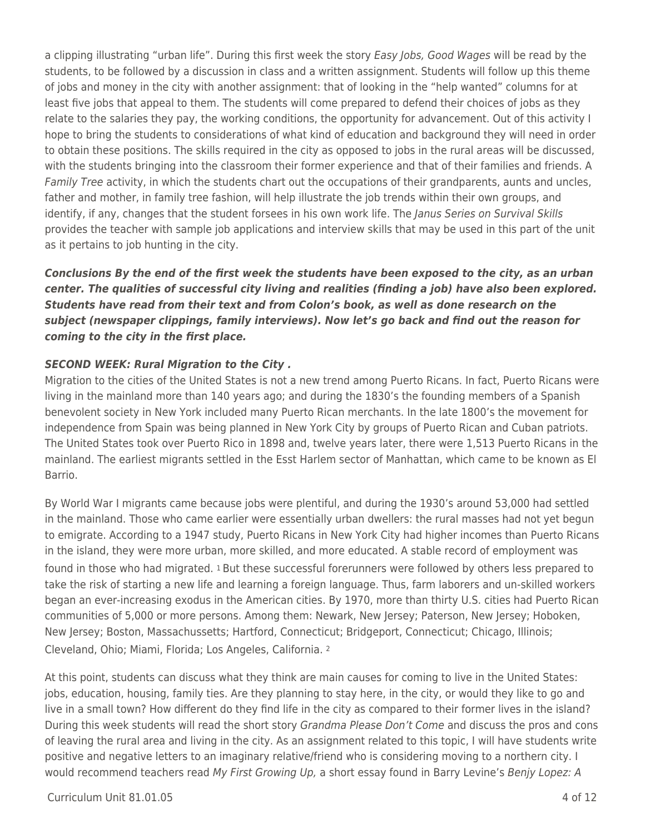a clipping illustrating "urban life". During this first week the story Easy Jobs, Good Wages will be read by the students, to be followed by a discussion in class and a written assignment. Students will follow up this theme of jobs and money in the city with another assignment: that of looking in the "help wanted" columns for at least five jobs that appeal to them. The students will come prepared to defend their choices of jobs as they relate to the salaries they pay, the working conditions, the opportunity for advancement. Out of this activity I hope to bring the students to considerations of what kind of education and background they will need in order to obtain these positions. The skills required in the city as opposed to jobs in the rural areas will be discussed, with the students bringing into the classroom their former experience and that of their families and friends. A Family Tree activity, in which the students chart out the occupations of their grandparents, aunts and uncles, father and mother, in family tree fashion, will help illustrate the job trends within their own groups, and identify, if any, changes that the student forsees in his own work life. The Janus Series on Survival Skills provides the teacher with sample job applications and interview skills that may be used in this part of the unit as it pertains to job hunting in the city.

*Conclusions By the end of the first week the students have been exposed to the city, as an urban center. The qualities of successful city living and realities (finding a job) have also been explored. Students have read from their text and from Colon's book, as well as done research on the subject (newspaper clippings, family interviews). Now let's go back and find out the reason for coming to the city in the first place.*

#### *SECOND WEEK: Rural Migration to the City .*

Migration to the cities of the United States is not a new trend among Puerto Ricans. In fact, Puerto Ricans were living in the mainland more than 140 years ago; and during the 1830's the founding members of a Spanish benevolent society in New York included many Puerto Rican merchants. In the late 1800's the movement for independence from Spain was being planned in New York City by groups of Puerto Rican and Cuban patriots. The United States took over Puerto Rico in 1898 and, twelve years later, there were 1,513 Puerto Ricans in the mainland. The earliest migrants settled in the Esst Harlem sector of Manhattan, which came to be known as El Barrio.

By World War I migrants came because jobs were plentiful, and during the 1930's around 53,000 had settled in the mainland. Those who came earlier were essentially urban dwellers: the rural masses had not yet begun to emigrate. According to a 1947 study, Puerto Ricans in New York City had higher incomes than Puerto Ricans in the island, they were more urban, more skilled, and more educated. A stable record of employment was found in those who had migrated. 1 But these successful forerunners were followed by others less prepared to take the risk of starting a new life and learning a foreign language. Thus, farm laborers and un-skilled workers began an ever-increasing exodus in the American cities. By 1970, more than thirty U.S. cities had Puerto Rican communities of 5,000 or more persons. Among them: Newark, New Jersey; Paterson, New Jersey; Hoboken, New Jersey; Boston, Massachussetts; Hartford, Connecticut; Bridgeport, Connecticut; Chicago, Illinois; Cleveland, Ohio; Miami, Florida; Los Angeles, California. <sup>2</sup>

At this point, students can discuss what they think are main causes for coming to live in the United States: jobs, education, housing, family ties. Are they planning to stay here, in the city, or would they like to go and live in a small town? How different do they find life in the city as compared to their former lives in the island? During this week students will read the short story Grandma Please Don't Come and discuss the pros and cons of leaving the rural area and living in the city. As an assignment related to this topic, I will have students write positive and negative letters to an imaginary relative/friend who is considering moving to a northern city. I would recommend teachers read My First Growing Up, a short essay found in Barry Levine's Benjy Lopez: A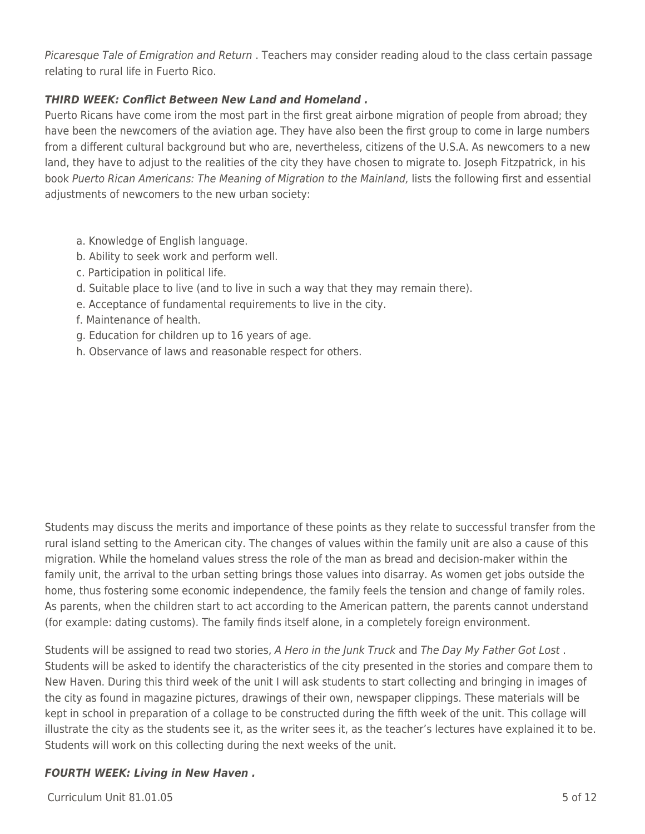Picaresque Tale of Emigration and Return . Teachers may consider reading aloud to the class certain passage relating to rural life in Fuerto Rico.

#### *THIRD WEEK: Conflict Between New Land and Homeland .*

Puerto Ricans have come irom the most part in the first great airbone migration of people from abroad; they have been the newcomers of the aviation age. They have also been the first group to come in large numbers from a different cultural background but who are, nevertheless, citizens of the U.S.A. As newcomers to a new land, they have to adjust to the realities of the city they have chosen to migrate to. Joseph Fitzpatrick, in his book Puerto Rican Americans: The Meaning of Migration to the Mainland, lists the following first and essential adjustments of newcomers to the new urban society:

- a. Knowledge of English language.
- b. Ability to seek work and perform well.
- c. Participation in political life.
- d. Suitable place to live (and to live in such a way that they may remain there).
- e. Acceptance of fundamental requirements to live in the city.
- f. Maintenance of health.
- g. Education for children up to 16 years of age.
- h. Observance of laws and reasonable respect for others.

Students may discuss the merits and importance of these points as they relate to successful transfer from the rural island setting to the American city. The changes of values within the family unit are also a cause of this migration. While the homeland values stress the role of the man as bread and decision-maker within the family unit, the arrival to the urban setting brings those values into disarray. As women get jobs outside the home, thus fostering some economic independence, the family feels the tension and change of family roles. As parents, when the children start to act according to the American pattern, the parents cannot understand (for example: dating customs). The family finds itself alone, in a completely foreign environment.

Students will be assigned to read two stories, A Hero in the Junk Truck and The Day My Father Got Lost . Students will be asked to identify the characteristics of the city presented in the stories and compare them to New Haven. During this third week of the unit I will ask students to start collecting and bringing in images of the city as found in magazine pictures, drawings of their own, newspaper clippings. These materials will be kept in school in preparation of a collage to be constructed during the fifth week of the unit. This collage will illustrate the city as the students see it, as the writer sees it, as the teacher's lectures have explained it to be. Students will work on this collecting during the next weeks of the unit.

#### *FOURTH WEEK: Living in New Haven .*

 $Curriculum$  Unit  $81.01.05$   $5$  of 12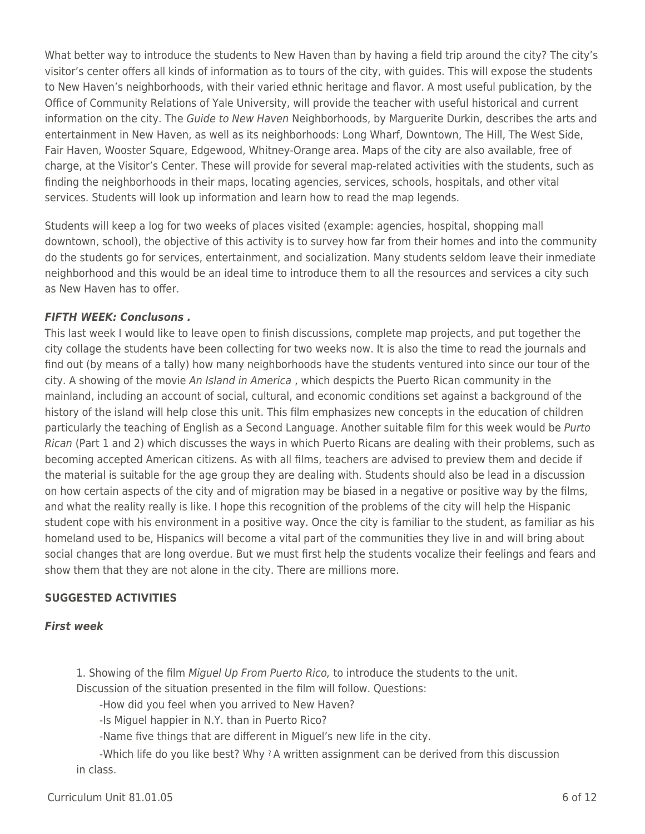What better way to introduce the students to New Haven than by having a field trip around the city? The city's visitor's center offers all kinds of information as to tours of the city, with guides. This will expose the students to New Haven's neighborhoods, with their varied ethnic heritage and flavor. A most useful publication, by the Office of Community Relations of Yale University, will provide the teacher with useful historical and current information on the city. The Guide to New Haven Neighborhoods, by Marguerite Durkin, describes the arts and entertainment in New Haven, as well as its neighborhoods: Long Wharf, Downtown, The Hill, The West Side, Fair Haven, Wooster Square, Edgewood, Whitney-Orange area. Maps of the city are also available, free of charge, at the Visitor's Center. These will provide for several map-related activities with the students, such as finding the neighborhoods in their maps, locating agencies, services, schools, hospitals, and other vital services. Students will look up information and learn how to read the map legends.

Students will keep a log for two weeks of places visited (example: agencies, hospital, shopping mall downtown, school), the objective of this activity is to survey how far from their homes and into the community do the students go for services, entertainment, and socialization. Many students seldom leave their inmediate neighborhood and this would be an ideal time to introduce them to all the resources and services a city such as New Haven has to offer.

#### *FIFTH WEEK: Conclusons .*

This last week I would like to leave open to finish discussions, complete map projects, and put together the city collage the students have been collecting for two weeks now. It is also the time to read the journals and find out (by means of a tally) how many neighborhoods have the students ventured into since our tour of the city. A showing of the movie An Island in America , which despicts the Puerto Rican community in the mainland, including an account of social, cultural, and economic conditions set against a background of the history of the island will help close this unit. This film emphasizes new concepts in the education of children particularly the teaching of English as a Second Language. Another suitable film for this week would be Purto Rican (Part 1 and 2) which discusses the ways in which Puerto Ricans are dealing with their problems, such as becoming accepted American citizens. As with all films, teachers are advised to preview them and decide if the material is suitable for the age group they are dealing with. Students should also be lead in a discussion on how certain aspects of the city and of migration may be biased in a negative or positive way by the films, and what the reality really is like. I hope this recognition of the problems of the city will help the Hispanic student cope with his environment in a positive way. Once the city is familiar to the student, as familiar as his homeland used to be, Hispanics will become a vital part of the communities they live in and will bring about social changes that are long overdue. But we must first help the students vocalize their feelings and fears and show them that they are not alone in the city. There are millions more.

#### **SUGGESTED ACTIVITIES**

#### *First week*

1. Showing of the film Miguel Up From Puerto Rico, to introduce the students to the unit.

Discussion of the situation presented in the film will follow. Questions:

-How did you feel when you arrived to New Haven?

-Is Miguel happier in N.Y. than in Puerto Rico?

-Name five things that are different in Miguel's new life in the city.

-Which life do you like best? Why ? A written assignment can be derived from this discussion in class.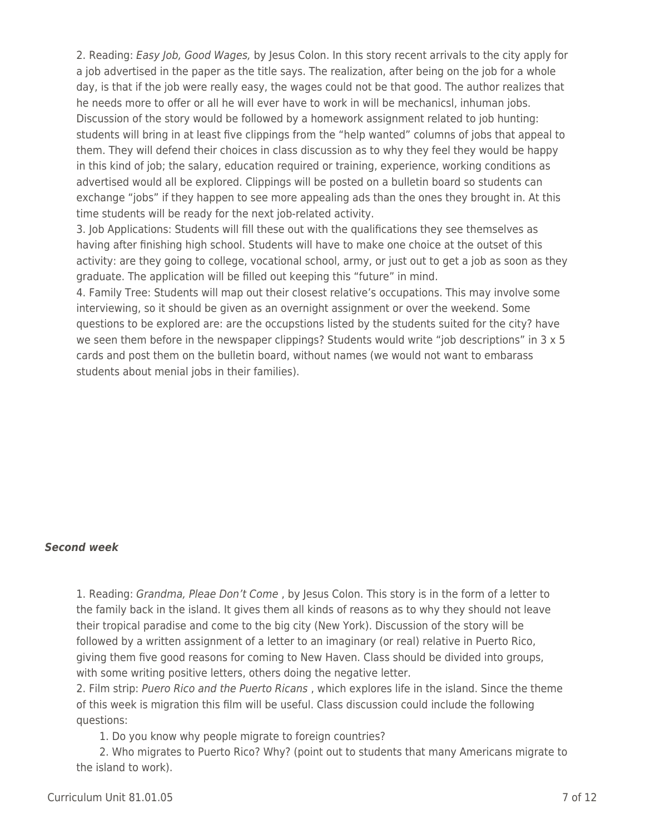2. Reading: Easy Job, Good Wages, by Jesus Colon. In this story recent arrivals to the city apply for a job advertised in the paper as the title says. The realization, after being on the job for a whole day, is that if the job were really easy, the wages could not be that good. The author realizes that he needs more to offer or all he will ever have to work in will be mechanicsl, inhuman jobs. Discussion of the story would be followed by a homework assignment related to job hunting: students will bring in at least five clippings from the "help wanted" columns of jobs that appeal to them. They will defend their choices in class discussion as to why they feel they would be happy in this kind of job; the salary, education required or training, experience, working conditions as advertised would all be explored. Clippings will be posted on a bulletin board so students can exchange "jobs" if they happen to see more appealing ads than the ones they brought in. At this time students will be ready for the next job-related activity.

3. Job Applications: Students will fill these out with the qualifications they see themselves as having after finishing high school. Students will have to make one choice at the outset of this activity: are they going to college, vocational school, army, or just out to get a job as soon as they graduate. The application will be filled out keeping this "future" in mind.

4. Family Tree: Students will map out their closest relative's occupations. This may involve some interviewing, so it should be given as an overnight assignment or over the weekend. Some questions to be explored are: are the occupstions listed by the students suited for the city? have we seen them before in the newspaper clippings? Students would write "job descriptions" in  $3 \times 5$ cards and post them on the bulletin board, without names (we would not want to embarass students about menial jobs in their families).

#### *Second week*

1. Reading: Grandma, Pleae Don't Come, by Jesus Colon. This story is in the form of a letter to the family back in the island. It gives them all kinds of reasons as to why they should not leave their tropical paradise and come to the big city (New York). Discussion of the story will be followed by a written assignment of a letter to an imaginary (or real) relative in Puerto Rico, giving them five good reasons for coming to New Haven. Class should be divided into groups, with some writing positive letters, others doing the negative letter.

2. Film strip: Puero Rico and the Puerto Ricans, which explores life in the island. Since the theme of this week is migration this film will be useful. Class discussion could include the following questions:

1. Do you know why people migrate to foreign countries?

2. Who migrates to Puerto Rico? Why? (point out to students that many Americans migrate to the island to work).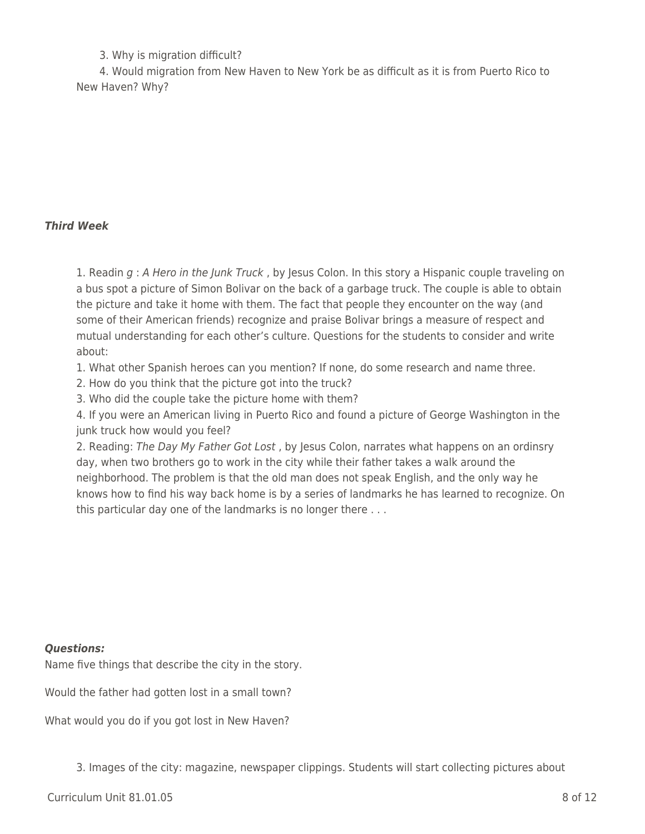#### 3. Why is migration difficult?

\_\_\_\_ 4. Would migration from New Haven to New York be as difficult as it is from Puerto Rico to New Haven? Why?

#### *Third Week*

1. Readin g : A Hero in the Junk Truck, by Jesus Colon. In this story a Hispanic couple traveling on a bus spot a picture of Simon Bolivar on the back of a garbage truck. The couple is able to obtain the picture and take it home with them. The fact that people they encounter on the way (and some of their American friends) recognize and praise Bolivar brings a measure of respect and mutual understanding for each other's culture. Questions for the students to consider and write about:

1. What other Spanish heroes can you mention? If none, do some research and name three.

2. How do you think that the picture got into the truck?

3. Who did the couple take the picture home with them?

4. If you were an American living in Puerto Rico and found a picture of George Washington in the junk truck how would you feel?

2. Reading: The Day My Father Got Lost, by Jesus Colon, narrates what happens on an ordinsry day, when two brothers go to work in the city while their father takes a walk around the neighborhood. The problem is that the old man does not speak English, and the only way he knows how to find his way back home is by a series of landmarks he has learned to recognize. On this particular day one of the landmarks is no longer there . . .

#### *Questions:*

Name five things that describe the city in the story.

Would the father had gotten lost in a small town?

What would you do if you got lost in New Haven?

3. Images of the city: magazine, newspaper clippings. Students will start collecting pictures about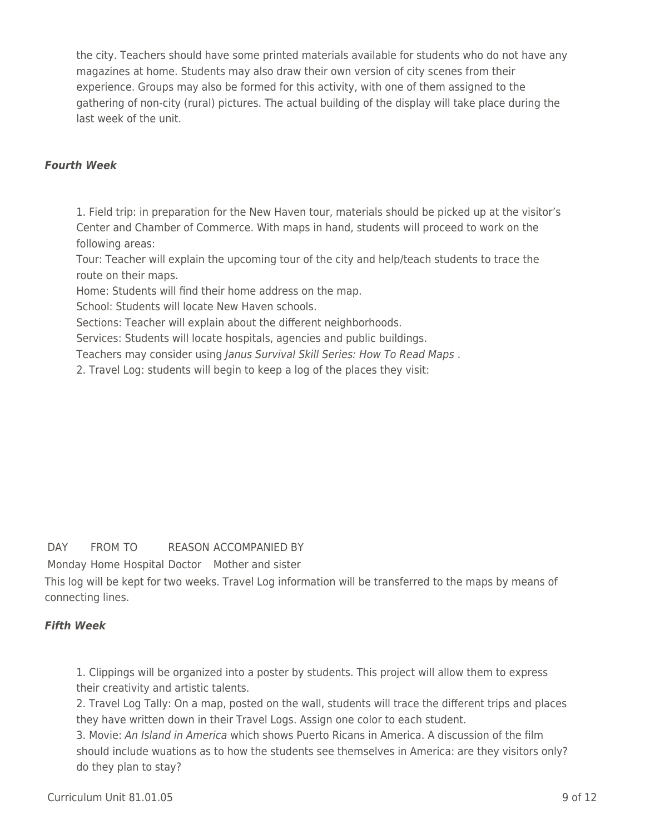the city. Teachers should have some printed materials available for students who do not have any magazines at home. Students may also draw their own version of city scenes from their experience. Groups may also be formed for this activity, with one of them assigned to the gathering of non-city (rural) pictures. The actual building of the display will take place during the last week of the unit.

#### *Fourth Week*

1. Field trip: in preparation for the New Haven tour, materials should be picked up at the visitor's Center and Chamber of Commerce. With maps in hand, students will proceed to work on the following areas:

Tour: Teacher will explain the upcoming tour of the city and help/teach students to trace the route on their maps.

Home: Students will find their home address on the map.

School: Students will locate New Haven schools.

Sections: Teacher will explain about the different neighborhoods.

Services: Students will locate hospitals, agencies and public buildings.

Teachers may consider using Janus Survival Skill Series: How To Read Maps .

2. Travel Log: students will begin to keep a log of the places they visit:

#### DAY FROM TO REASON ACCOMPANIED BY

Monday Home Hospital Doctor Mother and sister

This log will be kept for two weeks. Travel Log information will be transferred to the maps by means of connecting lines.

#### *Fifth Week*

1. Clippings will be organized into a poster by students. This project will allow them to express their creativity and artistic talents.

2. Travel Log Tally: On a map, posted on the wall, students will trace the different trips and places they have written down in their Travel Logs. Assign one color to each student.

3. Movie: An Island in America which shows Puerto Ricans in America. A discussion of the film should include wuations as to how the students see themselves in America: are they visitors only? do they plan to stay?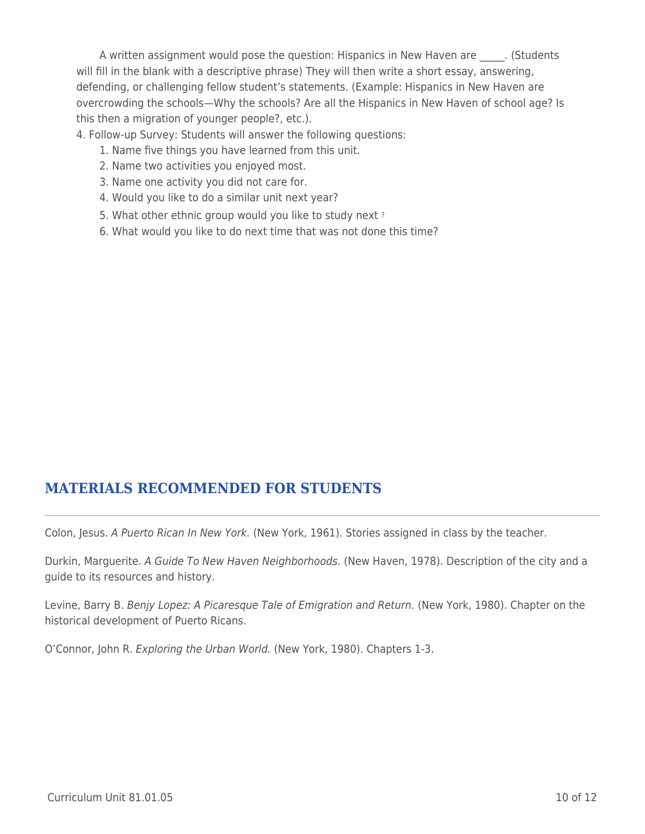A written assignment would pose the question: Hispanics in New Haven are ... (Students will fill in the blank with a descriptive phrase) They will then write a short essay, answering, defending, or challenging fellow student's statements. (Example: Hispanics in New Haven are overcrowding the schools—Why the schools? Are all the Hispanics in New Haven of school age? Is this then a migration of younger people?, etc.).

4. Follow-up Survey: Students will answer the following questions:

- 1. Name five things you have learned from this unit.
- 2. Name two activities you enjoyed most.
- 3. Name one activity you did not care for.
- 4. Would you like to do a similar unit next year?
- 5. What other ethnic group would you like to study next?
- \_\_\_\_ 6. What would you like to do next time that was not done this time?

# **MATERIALS RECOMMENDED FOR STUDENTS**

Colon, Jesus. A Puerto Rican In New York. (New York, 1961). Stories assigned in class by the teacher.

Durkin, Marguerite. A Guide To New Haven Neighborhoods. (New Haven, 1978). Description of the city and a guide to its resources and history.

Levine, Barry B. Benjy Lopez: A Picaresque Tale of Emigration and Return. (New York, 1980). Chapter on the historical development of Puerto Ricans.

O'Connor, John R. Exploring the Urban World. (New York, 1980). Chapters 1-3.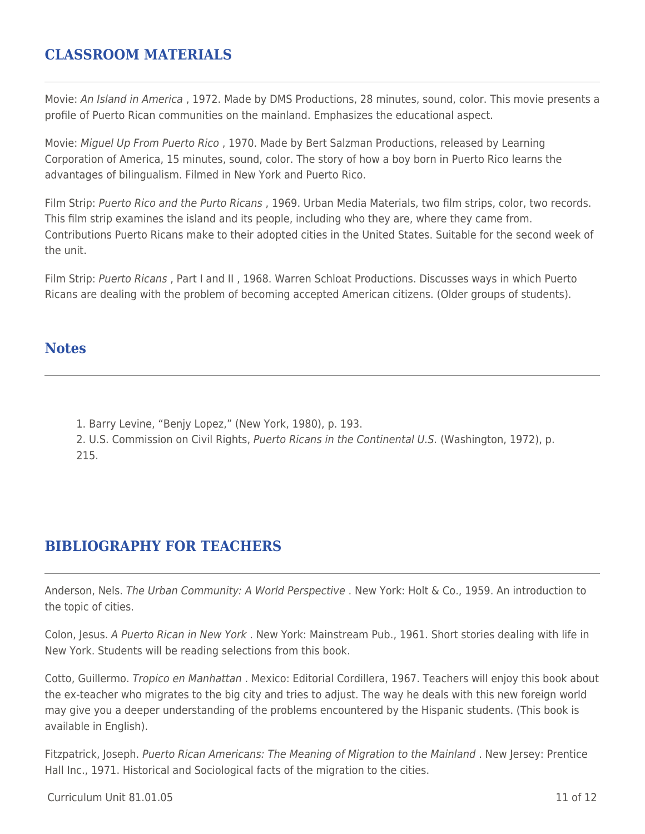### **CLASSROOM MATERIALS**

Movie: An Island in America, 1972. Made by DMS Productions, 28 minutes, sound, color. This movie presents a profile of Puerto Rican communities on the mainland. Emphasizes the educational aspect.

Movie: Miguel Up From Puerto Rico , 1970. Made by Bert Salzman Productions, released by Learning Corporation of America, 15 minutes, sound, color. The story of how a boy born in Puerto Rico learns the advantages of bilingualism. Filmed in New York and Puerto Rico.

Film Strip: Puerto Rico and the Purto Ricans, 1969. Urban Media Materials, two film strips, color, two records. This film strip examines the island and its people, including who they are, where they came from. Contributions Puerto Ricans make to their adopted cities in the United States. Suitable for the second week of the unit.

Film Strip: Puerto Ricans , Part I and II , 1968. Warren Schloat Productions. Discusses ways in which Puerto Ricans are dealing with the problem of becoming accepted American citizens. (Older groups of students).

### **Notes**

1. Barry Levine, "Benjy Lopez," (New York, 1980), p. 193.

2. U.S. Commission on Civil Rights, Puerto Ricans in the Continental U.S. (Washington, 1972), p. 215.

# **BIBLIOGRAPHY FOR TEACHERS**

Anderson, Nels. The Urban Community: A World Perspective . New York: Holt & Co., 1959. An introduction to the topic of cities.

Colon, Jesus. A Puerto Rican in New York . New York: Mainstream Pub., 1961. Short stories dealing with life in New York. Students will be reading selections from this book.

Cotto, Guillermo. Tropico en Manhattan . Mexico: Editorial Cordillera, 1967. Teachers will enjoy this book about the ex-teacher who migrates to the big city and tries to adjust. The way he deals with this new foreign world may give you a deeper understanding of the problems encountered by the Hispanic students. (This book is available in English).

Fitzpatrick, Joseph. Puerto Rican Americans: The Meaning of Migration to the Mainland. New Jersey: Prentice Hall Inc., 1971. Historical and Sociological facts of the migration to the cities.